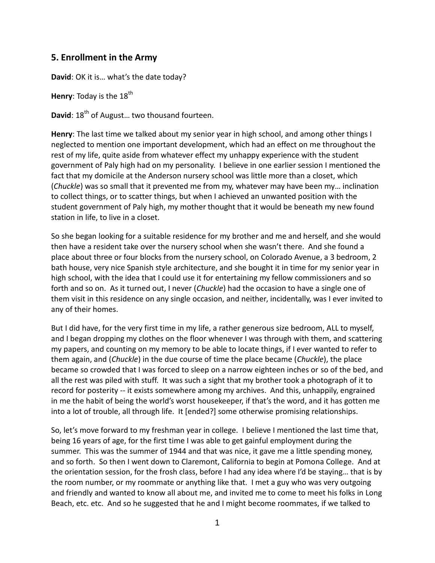## **5. Enrollment in the Army**

**David**: OK it is… what's the date today?

**Henry:** Today is the 18<sup>th</sup>

**David**: 18<sup>th</sup> of August... two thousand fourteen.

**Henry**: The last time we talked about my senior year in high school, and among other things I neglected to mention one important development, which had an effect on me throughout the rest of my life, quite aside from whatever effect my unhappy experience with the student government of Paly high had on my personality. I believe in one earlier session I mentioned the fact that my domicile at the Anderson nursery school was little more than a closet, which (*Chuckle*) was so small that it prevented me from my, whatever may have been my… inclination to collect things, or to scatter things, but when I achieved an unwanted position with the student government of Paly high, my mother thought that it would be beneath my new found station in life, to live in a closet.

So she began looking for a suitable residence for my brother and me and herself, and she would then have a resident take over the nursery school when she wasn't there. And she found a place about three or four blocks from the nursery school, on Colorado Avenue, a 3 bedroom, 2 bath house, very nice Spanish style architecture, and she bought it in time for my senior year in high school, with the idea that I could use it for entertaining my fellow commissioners and so forth and so on. As it turned out, I never (*Chuckle*) had the occasion to have a single one of them visit in this residence on any single occasion, and neither, incidentally, was I ever invited to any of their homes.

But I did have, for the very first time in my life, a rather generous size bedroom, ALL to myself, and I began dropping my clothes on the floor whenever I was through with them, and scattering my papers, and counting on my memory to be able to locate things, if I ever wanted to refer to them again, and (*Chuckle*) in the due course of time the place became (*Chuckle*), the place became so crowded that I was forced to sleep on a narrow eighteen inches or so of the bed, and all the rest was piled with stuff. It was such a sight that my brother took a photograph of it to record for posterity -- it exists somewhere among my archives. And this, unhappily, engrained in me the habit of being the world's worst housekeeper, if that's the word, and it has gotten me into a lot of trouble, all through life. It [ended?] some otherwise promising relationships.

So, let's move forward to my freshman year in college. I believe I mentioned the last time that, being 16 years of age, for the first time I was able to get gainful employment during the summer. This was the summer of 1944 and that was nice, it gave me a little spending money, and so forth. So then I went down to Claremont, California to begin at Pomona College. And at the orientation session, for the frosh class, before I had any idea where I'd be staying… that is by the room number, or my roommate or anything like that. I met a guy who was very outgoing and friendly and wanted to know all about me, and invited me to come to meet his folks in Long Beach, etc. etc. And so he suggested that he and I might become roommates, if we talked to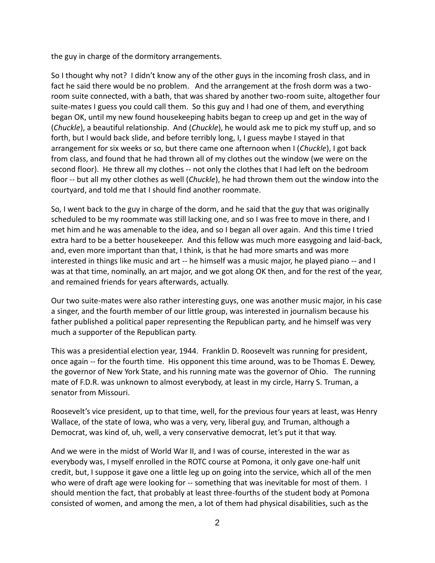the guy in charge of the dormitory arrangements.

So I thought why not? I didn't know any of the other guys in the incoming frosh class, and in fact he said there would be no problem. And the arrangement at the frosh dorm was a two room suite connected, with a bath, that was shared by another two-room suite, altogether four suite-mates I guess you could call them. So this guy and I had one of them, and everything began OK, until my new found housekeeping habits began to creep up and get in the way of (*Chuckle*), a beautiful relationship. And (*Chuckle*), he would ask me to pick my stuff up, and so forth, but I would back slide, and before terribly long, I, I guess maybe I stayed in that arrangement for six weeks or so, but there came one afternoon when I (*Chuckle*), I got back from class, and found that he had thrown all of my clothes out the window (we were on the second floor). He threw all my clothes -- not only the clothes that I had left on the bedroom floor -- but all my other clothes as well (*Chuckle*), he had thrown them out the window into the courtyard, and told me that I should find another roommate.

So, I went back to the guy in charge of the dorm, and he said that the guy that was originally scheduled to be my roommate was still lacking one, and so I was free to move in there, and I met him and he was amenable to the idea, and so I began all over again. And this time I tried extra hard to be a better housekeeper. And this fellow was much more easygoing and laid-back, and, even more important than that, I think, is that he had more smarts and was more interested in things like music and art -- he himself was a music major, he played piano -- and I was at that time, nominally, an art major, and we got along OK then, and for the rest of the year, and remained friends for years afterwards, actually.

Our two suite-mates were also rather interesting guys, one was another music major, in his case a singer, and the fourth member of our little group, was interested in journalism because his father published a political paper representing the Republican party, and he himself was very much a supporter of the Republican party.

This was a presidential election year, 1944. Franklin D. Roosevelt was running for president, once again -- for the fourth time. His opponent this time around, was to be Thomas E. Dewey, the governor of New York State, and his running mate was the governor of Ohio. The running mate of F.D.R. was unknown to almost everybody, at least in my circle, Harry S. Truman, a senator from Missouri.

Roosevelt's vice president, up to that time, well, for the previous four years at least, was Henry Wallace, of the state of Iowa, who was a very, very, liberal guy, and Truman, although a Democrat, was kind of, uh, well, a very conservative democrat, let's put it that way.

And we were in the midst of World War II, and I was of course, interested in the war as everybody was, I myself enrolled in the ROTC course at Pomona, it only gave one-half unit credit, but, I suppose it gave one a little leg up on going into the service, which all of the men who were of draft age were looking for -- something that was inevitable for most of them. I should mention the fact, that probably at least three-fourths of the student body at Pomona consisted of women, and among the men, a lot of them had physical disabilities, such as the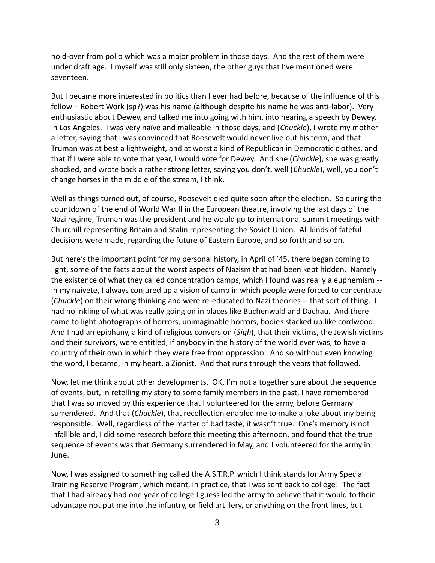hold-over from polio which was a major problem in those days. And the rest of them were under draft age. I myself was still only sixteen, the other guys that I've mentioned were seventeen.

But I became more interested in politics than I ever had before, because of the influence of this fellow – Robert Work (sp?) was his name (although despite his name he was anti-labor). Very enthusiastic about Dewey, and talked me into going with him, into hearing a speech by Dewey, in Los Angeles. I was very naïve and malleable in those days, and (*Chuckle*), I wrote my mother a letter, saying that I was convinced that Roosevelt would never live out his term, and that Truman was at best a lightweight, and at worst a kind of Republican in Democratic clothes, and that if I were able to vote that year, I would vote for Dewey. And she (*Chuckle*), she was greatly shocked, and wrote back a rather strong letter, saying you don't, well (*Chuckle*), well, you don't change horses in the middle of the stream, I think.

Well as things turned out, of course, Roosevelt died quite soon after the election. So during the countdown of the end of World War II in the European theatre, involving the last days of the Nazi regime, Truman was the president and he would go to international summit meetings with Churchill representing Britain and Stalin representing the Soviet Union. All kinds of fateful decisions were made, regarding the future of Eastern Europe, and so forth and so on.

But here's the important point for my personal history, in April of '45, there began coming to light, some of the facts about the worst aspects of Nazism that had been kept hidden. Namely the existence of what they called concentration camps, which I found was really a euphemism - in my naivete, I always conjured up a vision of camp in which people were forced to concentrate (*Chuckle*) on their wrong thinking and were re-educated to Nazi theories -- that sort of thing. I had no inkling of what was really going on in places like Buchenwald and Dachau. And there came to light photographs of horrors, unimaginable horrors, bodies stacked up like cordwood. And I had an epiphany, a kind of religious conversion (*Sigh*), that their victims, the Jewish victims and their survivors, were entitled, if anybody in the history of the world ever was, to have a country of their own in which they were free from oppression. And so without even knowing the word, I became, in my heart, a Zionist. And that runs through the years that followed.

Now, let me think about other developments. OK, I'm not altogether sure about the sequence of events, but, in retelling my story to some family members in the past, I have remembered that I was so moved by this experience that I volunteered for the army, before Germany surrendered. And that (*Chuckle*), that recollection enabled me to make a joke about my being responsible. Well, regardless of the matter of bad taste, it wasn't true. One's memory is not infallible and, I did some research before this meeting this afternoon, and found that the true sequence of events was that Germany surrendered in May, and I volunteered for the army in June.

Now, I was assigned to something called the A.S.T.R.P. which I think stands for Army Special Training Reserve Program, which meant, in practice, that I was sent back to college! The fact that I had already had one year of college I guess led the army to believe that it would to their advantage not put me into the infantry, or field artillery, or anything on the front lines, but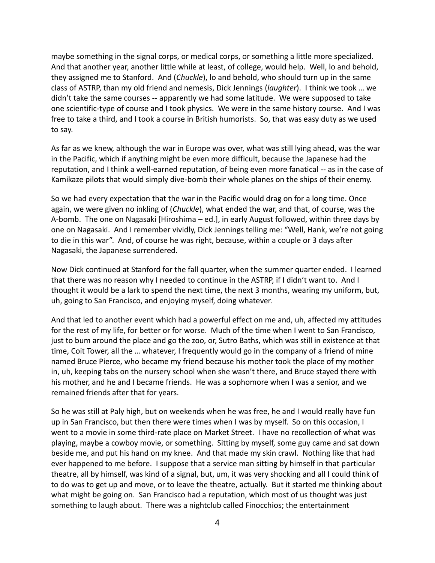maybe something in the signal corps, or medical corps, or something a little more specialized. And that another year, another little while at least, of college, would help. Well, lo and behold, they assigned me to Stanford. And (*Chuckle*), lo and behold, who should turn up in the same class of ASTRP, than my old friend and nemesis, Dick Jennings (*laughter*). I think we took … we didn't take the same courses -- apparently we had some latitude. We were supposed to take one scientific-type of course and I took physics. We were in the same history course. And I was free to take a third, and I took a course in British humorists. So, that was easy duty as we used to say.

As far as we knew, although the war in Europe was over, what was still lying ahead, was the war in the Pacific, which if anything might be even more difficult, because the Japanese had the reputation, and I think a well-earned reputation, of being even more fanatical -- as in the case of Kamikaze pilots that would simply dive-bomb their whole planes on the ships of their enemy.

So we had every expectation that the war in the Pacific would drag on for a long time. Once again, we were given no inkling of (*Chuckle*), what ended the war, and that, of course, was the A-bomb. The one on Nagasaki [Hiroshima – ed.], in early August followed, within three days by one on Nagasaki. And I remember vividly, Dick Jennings telling me: "Well, Hank, we're not going to die in this war". And, of course he was right, because, within a couple or 3 days after Nagasaki, the Japanese surrendered.

Now Dick continued at Stanford for the fall quarter, when the summer quarter ended. I learned that there was no reason why I needed to continue in the ASTRP, if I didn't want to. And I thought it would be a lark to spend the next time, the next 3 months, wearing my uniform, but, uh, going to San Francisco, and enjoying myself, doing whatever.

And that led to another event which had a powerful effect on me and, uh, affected my attitudes for the rest of my life, for better or for worse. Much of the time when I went to San Francisco, just to bum around the place and go the zoo, or, Sutro Baths, which was still in existence at that time, Coit Tower, all the … whatever, I frequently would go in the company of a friend of mine named Bruce Pierce, who became my friend because his mother took the place of my mother in, uh, keeping tabs on the nursery school when she wasn't there, and Bruce stayed there with his mother, and he and I became friends. He was a sophomore when I was a senior, and we remained friends after that for years.

So he was still at Paly high, but on weekends when he was free, he and I would really have fun up in San Francisco, but then there were times when I was by myself. So on this occasion, I went to a movie in some third-rate place on Market Street. I have no recollection of what was playing, maybe a cowboy movie, or something. Sitting by myself, some guy came and sat down beside me, and put his hand on my knee. And that made my skin crawl. Nothing like that had ever happened to me before. I suppose that a service man sitting by himself in that particular theatre, all by himself, was kind of a signal, but, um, it was very shocking and all I could think of to do was to get up and move, or to leave the theatre, actually. But it started me thinking about what might be going on. San Francisco had a reputation, which most of us thought was just something to laugh about. There was a nightclub called Finocchios; the entertainment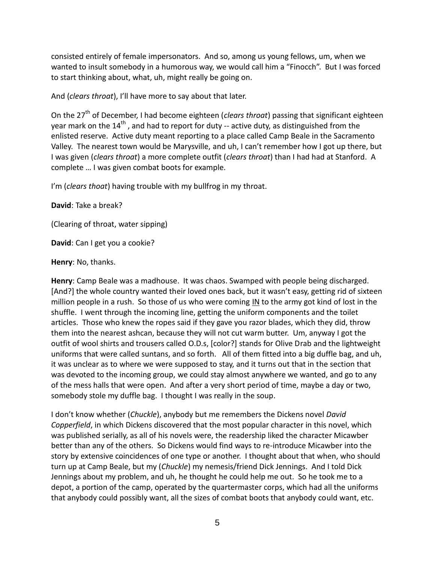consisted entirely of female impersonators. And so, among us young fellows, um, when we wanted to insult somebody in a humorous way, we would call him a "Finocch". But I was forced to start thinking about, what, uh, might really be going on.

And (*clears throat*), I'll have more to say about that later.

On the 27<sup>th</sup> of December, I had become eighteen (*clears throat*) passing that significant eighteen year mark on the  $14<sup>th</sup>$ , and had to report for duty -- active duty, as distinguished from the enlisted reserve. Active duty meant reporting to a place called Camp Beale in the Sacramento Valley. The nearest town would be Marysville, and uh, I can't remember how I got up there, but I was given (*clears throat*) a more complete outfit (*clears throat*) than I had had at Stanford. A complete … I was given combat boots for example.

I'm (*clears thoat*) having trouble with my bullfrog in my throat.

**David**: Take a break?

(Clearing of throat, water sipping)

**David**: Can I get you a cookie?

**Henry**: No, thanks.

**Henry**: Camp Beale was a madhouse. It was chaos. Swamped with people being discharged. [And?] the whole country wanted their loved ones back, but it wasn't easy, getting rid of sixteen million people in a rush. So those of us who were coming IN to the army got kind of lost in the shuffle. I went through the incoming line, getting the uniform components and the toilet articles. Those who knew the ropes said if they gave you razor blades, which they did, throw them into the nearest ashcan, because they will not cut warm butter. Um, anyway I got the outfit of wool shirts and trousers called O.D.s, [color?] stands for Olive Drab and the lightweight uniforms that were called suntans, and so forth. All of them fitted into a big duffle bag, and uh, it was unclear as to where we were supposed to stay, and it turns out that in the section that was devoted to the incoming group, we could stay almost anywhere we wanted, and go to any of the mess halls that were open. And after a very short period of time, maybe a day or two, somebody stole my duffle bag. I thought I was really in the soup.

I don't know whether (*Chuckle*), anybody but me remembers the Dickens novel *David Copperfield*, in which Dickens discovered that the most popular character in this novel, which was published serially, as all of his novels were, the readership liked the character Micawber better than any of the others. So Dickens would find ways to re-introduce Micawber into the story by extensive coincidences of one type or another. I thought about that when, who should turn up at Camp Beale, but my (*Chuckle*) my nemesis/friend Dick Jennings. And I told Dick Jennings about my problem, and uh, he thought he could help me out. So he took me to a depot, a portion of the camp, operated by the quartermaster corps, which had all the uniforms that anybody could possibly want, all the sizes of combat boots that anybody could want, etc.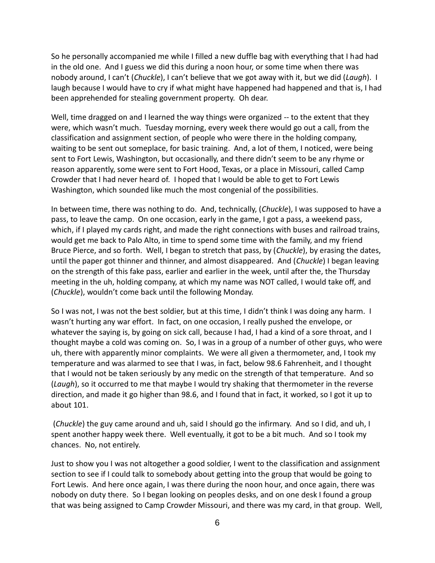So he personally accompanied me while I filled a new duffle bag with everything that I had had in the old one. And I guess we did this during a noon hour, or some time when there was nobody around, I can't (*Chuckle*), I can't believe that we got away with it, but we did (*Laugh*). I laugh because I would have to cry if what might have happened had happened and that is, I had been apprehended for stealing government property. Oh dear.

Well, time dragged on and I learned the way things were organized -- to the extent that they were, which wasn't much. Tuesday morning, every week there would go out a call, from the classification and assignment section, of people who were there in the holding company, waiting to be sent out someplace, for basic training. And, a lot of them, I noticed, were being sent to Fort Lewis, Washington, but occasionally, and there didn't seem to be any rhyme or reason apparently, some were sent to Fort Hood, Texas, or a place in Missouri, called Camp Crowder that I had never heard of. I hoped that I would be able to get to Fort Lewis Washington, which sounded like much the most congenial of the possibilities.

In between time, there was nothing to do. And, technically, (*Chuckle*), I was supposed to have a pass, to leave the camp. On one occasion, early in the game, I got a pass, a weekend pass, which, if I played my cards right, and made the right connections with buses and railroad trains, would get me back to Palo Alto, in time to spend some time with the family, and my friend Bruce Pierce, and so forth. Well, I began to stretch that pass, by (*Chuckle*), by erasing the dates, until the paper got thinner and thinner, and almost disappeared. And (*Chuckle*) I began leaving on the strength of this fake pass, earlier and earlier in the week, until after the, the Thursday meeting in the uh, holding company, at which my name was NOT called, I would take off, and (*Chuckle*), wouldn't come back until the following Monday.

So I was not, I was not the best soldier, but at this time, I didn't think I was doing any harm. I wasn't hurting any war effort. In fact, on one occasion, I really pushed the envelope, or whatever the saying is, by going on sick call, because I had, I had a kind of a sore throat, and I thought maybe a cold was coming on. So, I was in a group of a number of other guys, who were uh, there with apparently minor complaints. We were all given a thermometer, and, I took my temperature and was alarmed to see that I was, in fact, below 98.6 Fahrenheit, and I thought that I would not be taken seriously by any medic on the strength of that temperature. And so (*Laugh*), so it occurred to me that maybe I would try shaking that thermometer in the reverse direction, and made it go higher than 98.6, and I found that in fact, it worked, so I got it up to about 101.

(*Chuckle*) the guy came around and uh, said I should go the infirmary. And so I did, and uh, I spent another happy week there. Well eventually, it got to be a bit much. And so I took my chances. No, not entirely.

Just to show you I was not altogether a good soldier, I went to the classification and assignment section to see if I could talk to somebody about getting into the group that would be going to Fort Lewis. And here once again, I was there during the noon hour, and once again, there was nobody on duty there. So I began looking on peoples desks, and on one desk I found a group that was being assigned to Camp Crowder Missouri, and there was my card, in that group. Well,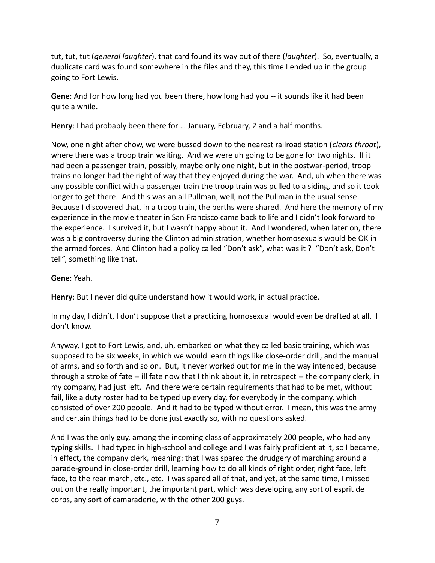tut, tut, tut (*general laughter*), that card found its way out of there (*laughter*). So, eventually, a duplicate card was found somewhere in the files and they, this time I ended up in the group going to Fort Lewis.

**Gene**: And for how long had you been there, how long had you -- it sounds like it had been quite a while.

**Henry**: I had probably been there for … January, February, 2 and a half months.

Now, one night after chow, we were bussed down to the nearest railroad station (*clears throat*), where there was a troop train waiting. And we were uh going to be gone for two nights. If it had been a passenger train, possibly, maybe only one night, but in the postwar-period, troop trains no longer had the right of way that they enjoyed during the war. And, uh when there was any possible conflict with a passenger train the troop train was pulled to a siding, and so it took longer to get there. And this was an all Pullman, well, not the Pullman in the usual sense. Because I discovered that, in a troop train, the berths were shared. And here the memory of my experience in the movie theater in San Francisco came back to life and I didn't look forward to the experience. I survived it, but I wasn't happy about it. And I wondered, when later on, there was a big controversy during the Clinton administration, whether homosexuals would be OK in the armed forces. And Clinton had a policy called "Don't ask", what was it ? "Don't ask, Don't tell", something like that.

## **Gene**: Yeah.

**Henry**: But I never did quite understand how it would work, in actual practice.

In my day, I didn't, I don't suppose that a practicing homosexual would even be drafted at all. I don't know.

Anyway, I got to Fort Lewis, and, uh, embarked on what they called basic training, which was supposed to be six weeks, in which we would learn things like close-order drill, and the manual of arms, and so forth and so on. But, it never worked out for me in the way intended, because through a stroke of fate -- ill fate now that I think about it, in retrospect -- the company clerk, in my company, had just left. And there were certain requirements that had to be met, without fail, like a duty roster had to be typed up every day, for everybody in the company, which consisted of over 200 people. And it had to be typed without error. I mean, this was the army and certain things had to be done just exactly so, with no questions asked.

And I was the only guy, among the incoming class of approximately 200 people, who had any typing skills. I had typed in high-school and college and I was fairly proficient at it, so I became, in effect, the company clerk, meaning: that I was spared the drudgery of marching around a parade-ground in close-order drill, learning how to do all kinds of right order, right face, left face, to the rear march, etc., etc. I was spared all of that, and yet, at the same time, I missed out on the really important, the important part, which was developing any sort of esprit de corps, any sort of camaraderie, with the other 200 guys.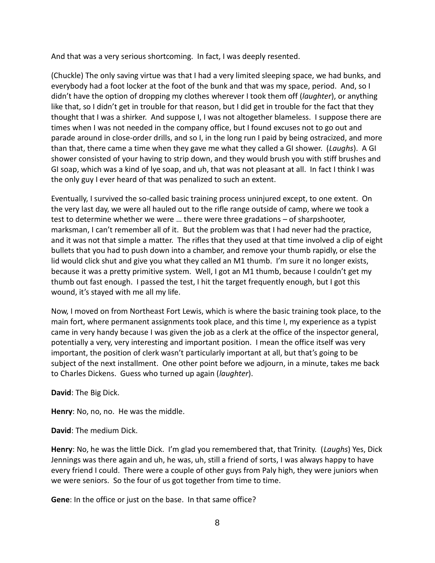And that was a very serious shortcoming. In fact, I was deeply resented.

(Chuckle) The only saving virtue was that I had a very limited sleeping space, we had bunks, and everybody had a foot locker at the foot of the bunk and that was my space, period. And, so I didn't have the option of dropping my clothes wherever I took them off (*laughter*), or anything like that, so I didn't get in trouble for that reason, but I did get in trouble for the fact that they thought that I was a shirker. And suppose I, I was not altogether blameless. I suppose there are times when I was not needed in the company office, but I found excuses not to go out and parade around in close-order drills, and so I, in the long run I paid by being ostracized, and more than that, there came a time when they gave me what they called a GI shower. (*Laughs*). A GI shower consisted of your having to strip down, and they would brush you with stiff brushes and GI soap, which was a kind of lye soap, and uh, that was not pleasant at all. In fact I think I was the only guy I ever heard of that was penalized to such an extent.

Eventually, I survived the so-called basic training process uninjured except, to one extent. On the very last day, we were all hauled out to the rifle range outside of camp, where we took a test to determine whether we were … there were three gradations – of sharpshooter, marksman, I can't remember all of it. But the problem was that I had never had the practice, and it was not that simple a matter. The rifles that they used at that time involved a clip of eight bullets that you had to push down into a chamber, and remove your thumb rapidly, or else the lid would click shut and give you what they called an M1 thumb. I'm sure it no longer exists, because it was a pretty primitive system. Well, I got an M1 thumb, because I couldn't get my thumb out fast enough. I passed the test, I hit the target frequently enough, but I got this wound, it's stayed with me all my life.

Now, I moved on from Northeast Fort Lewis, which is where the basic training took place, to the main fort, where permanent assignments took place, and this time I, my experience as a typist came in very handy because I was given the job as a clerk at the office of the inspector general, potentially a very, very interesting and important position. I mean the office itself was very important, the position of clerk wasn't particularly important at all, but that's going to be subject of the next installment. One other point before we adjourn, in a minute, takes me back to Charles Dickens. Guess who turned up again (*laughter*).

**David**: The Big Dick.

**Henry**: No, no, no. He was the middle.

**David**: The medium Dick.

**Henry**: No, he was the little Dick. I'm glad you remembered that, that Trinity. (*Laughs*) Yes, Dick Jennings was there again and uh, he was, uh, still a friend of sorts, I was always happy to have every friend I could. There were a couple of other guys from Paly high, they were juniors when we were seniors. So the four of us got together from time to time.

**Gene**: In the office or just on the base. In that same office?